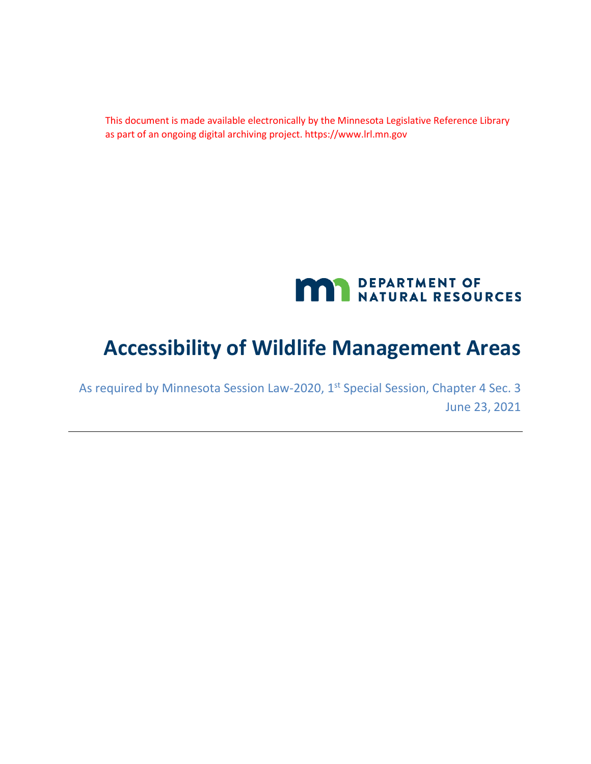This document is made available electronically by the Minnesota Legislative Reference Library as part of an ongoing digital archiving project. https://www.lrl.mn.gov



# **Accessibility of Wildlife Management Areas**

As required by Minnesota Session Law-2020, 1<sup>st</sup> Special Session, Chapter 4 Sec. 3 June 23, 2021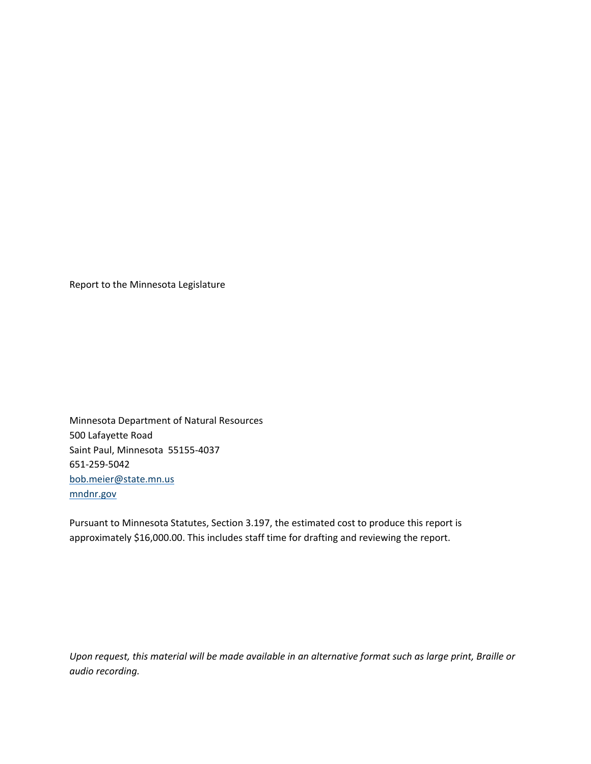Report to the Minnesota Legislature

Minnesota Department of Natural Resources 500 Lafayette Road Saint Paul, Minnesota 55155-4037 651-259-5042 [bob.meier@state.mn.us](mailto:bob.meier@state.mn.us) [mndnr.gov](http://www.mndnr.gov/)

Pursuant to Minnesota Statutes, Section 3.197, the estimated cost to produce this report is approximately \$16,000.00. This includes staff time for drafting and reviewing the report.

*Upon request, this material will be made available in an alternative format such as large print, Braille or audio recording.*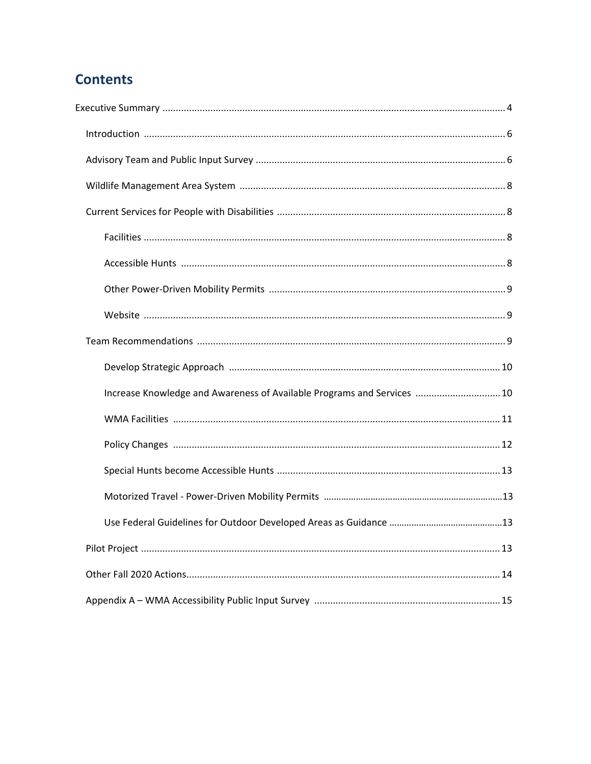# **Contents**

| Increase Knowledge and Awareness of Available Programs and Services  10 |
|-------------------------------------------------------------------------|
|                                                                         |
|                                                                         |
|                                                                         |
|                                                                         |
|                                                                         |
|                                                                         |
|                                                                         |
|                                                                         |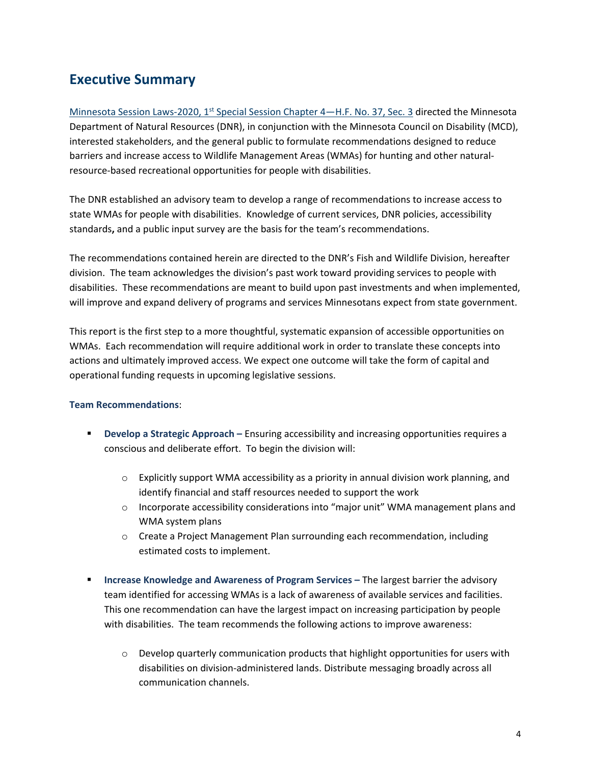## <span id="page-3-0"></span>**Executive Summary**

Minnesota Session Laws-2020, 1<sup>st</sup> [Special Session Chapter 4—H.F. No. 37, Sec. 3](https://www.revisor.mn.gov/laws/2020/1/Session+Law/Chapter/4/) directed the Minnesota Department of Natural Resources (DNR), in conjunction with the Minnesota Council on Disability (MCD), interested stakeholders, and the general public to formulate recommendations designed to reduce barriers and increase access to Wildlife Management Areas (WMAs) for hunting and other naturalresource-based recreational opportunities for people with disabilities.

<span id="page-3-1"></span>The DNR established an advisory team to develop a range of recommendations to increase access to state WMAs for people with disabilities. Knowledge of current services, DNR policies, accessibility standards**,** and a public input survey are the basis for the team's recommendations.

The recommendations contained herein are directed to the DNR's Fish and Wildlife Division, hereafter division. The team acknowledges the division's past work toward providing services to people with disabilities. These recommendations are meant to build upon past investments and when implemented, will improve and expand delivery of programs and services Minnesotans expect from state government.

This report is the first step to a more thoughtful, systematic expansion of accessible opportunities on WMAs. Each recommendation will require additional work in order to translate these concepts into actions and ultimately improved access. We expect one outcome will take the form of capital and operational funding requests in upcoming legislative sessions.

#### **Team Recommendations**:

- **Develop a Strategic Approach –** Ensuring accessibility and increasing opportunities requires a conscious and deliberate effort. To begin the division will:
	- $\circ$  Explicitly support WMA accessibility as a priority in annual division work planning, and identify financial and staff resources needed to support the work
	- o Incorporate accessibility considerations into "major unit" WMA management plans and WMA system plans
	- o Create a Project Management Plan surrounding each recommendation, including estimated costs to implement.
- **Increase Knowledge and Awareness of Program Services The largest barrier the advisory** team identified for accessing WMAs is a lack of awareness of available services and facilities. This one recommendation can have the largest impact on increasing participation by people with disabilities. The team recommends the following actions to improve awareness:
	- $\circ$  Develop quarterly communication products that highlight opportunities for users with disabilities on division-administered lands. Distribute messaging broadly across all communication channels.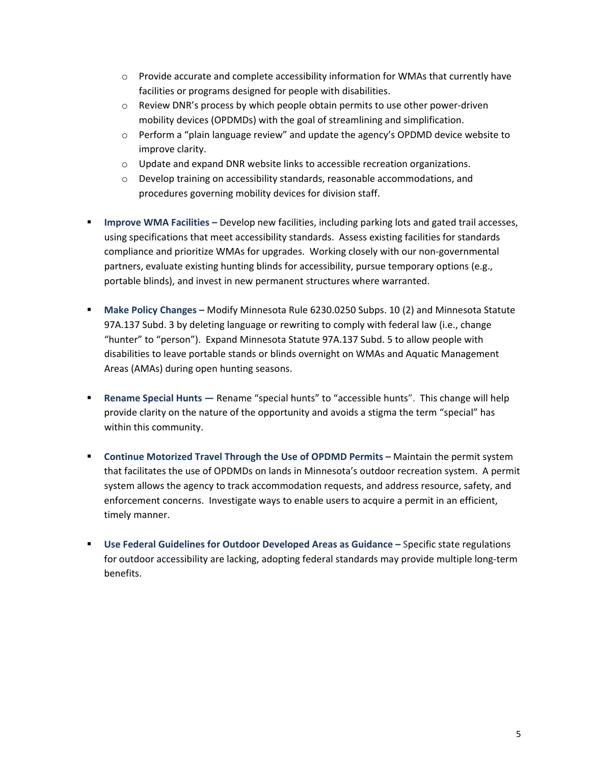- $\circ$  Provide accurate and complete accessibility information for WMAs that currently have facilities or programs designed for people with disabilities.
- $\circ$  Review DNR's process by which people obtain permits to use other power-driven mobility devices (OPDMDs) with the goal of streamlining and simplification.
- $\circ$  Perform a "plain language review" and update the agency's OPDMD device website to improve clarity.
- o Update and expand DNR website links to accessible recreation organizations.
- $\circ$  Develop training on accessibility standards, reasonable accommodations, and procedures governing mobility devices for division staff.
- **Improve WMA Facilities –** Develop new facilities, including parking lots and gated trail accesses, using specifications that meet accessibility standards. Assess existing facilities for standards compliance and prioritize WMAs for upgrades. Working closely with our non-governmental partners, evaluate existing hunting blinds for accessibility, pursue temporary options (e.g., portable blinds), and invest in new permanent structures where warranted.
- **Make Policy Changes –** Modify Minnesota Rule 6230.0250 Subps. 10 (2) and Minnesota Statute 97A.137 Subd. 3 by deleting language or rewriting to comply with federal law (i.e., change "hunter" to "person"). Expand Minnesota Statute 97A.137 Subd. 5 to allow people with disabilities to leave portable stands or blinds overnight on WMAs and Aquatic Management Areas (AMAs) during open hunting seasons.
- **Rename Special Hunts** Rename "special hunts" to "accessible hunts". This change will help provide clarity on the nature of the opportunity and avoids a stigma the term "special" has within this community.
- **Continue Motorized Travel Through the Use of OPDMD Permits –** Maintain the permit system that facilitates the use of OPDMDs on lands in Minnesota's outdoor recreation system. A permit system allows the agency to track accommodation requests, and address resource, safety, and enforcement concerns. Investigate ways to enable users to acquire a permit in an efficient, timely manner.
- **Use Federal Guidelines for Outdoor Developed Areas as Guidance Specific state regulations** for outdoor accessibility are lacking, adopting federal standards may provide multiple long-term benefits.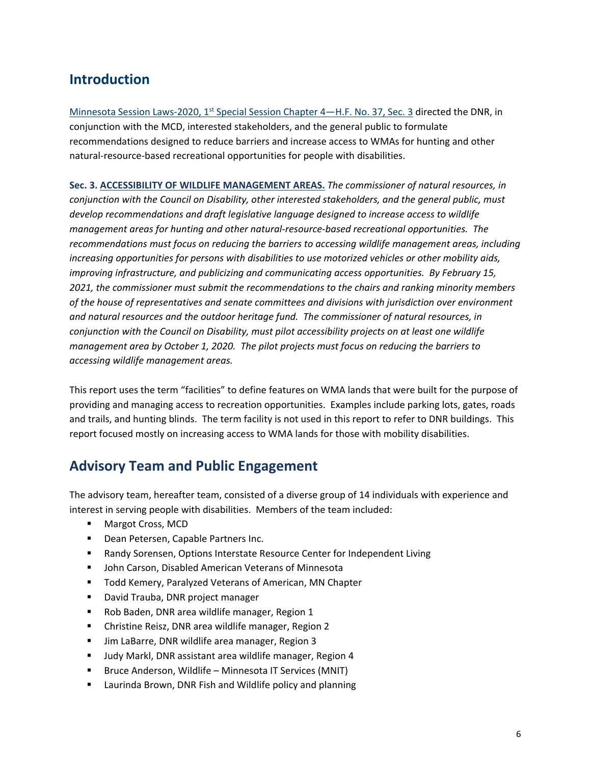## **Introduction**

Minnesota Session Laws-2020, 1<sup>st</sup> [Special Session Chapter 4—H.F. No. 37, Sec. 3](https://www.revisor.mn.gov/laws/2020/1/Session+Law/Chapter/4/) directed the DNR, in conjunction with the MCD, interested stakeholders, and the general public to formulate recommendations designed to reduce barriers and increase access to WMAs for hunting and other natural-resource-based recreational opportunities for people with disabilities.

**Sec. 3. ACCESSIBILITY OF WILDLIFE MANAGEMENT AREAS.** *The commissioner of natural resources, in conjunction with the Council on Disability, other interested stakeholders, and the general public, must develop recommendations and draft legislative language designed to increase access to wildlife management areas for hunting and other natural-resource-based recreational opportunities. The recommendations must focus on reducing the barriers to accessing wildlife management areas, including increasing opportunities for persons with disabilities to use motorized vehicles or other mobility aids, improving infrastructure, and publicizing and communicating access opportunities. By February 15, 2021, the commissioner must submit the recommendations to the chairs and ranking minority members of the house of representatives and senate committees and divisions with jurisdiction over environment and natural resources and the outdoor heritage fund. The commissioner of natural resources, in conjunction with the Council on Disability, must pilot accessibility projects on at least one wildlife management area by October 1, 2020. The pilot projects must focus on reducing the barriers to accessing wildlife management areas.*

This report uses the term "facilities" to define features on WMA lands that were built for the purpose of providing and managing access to recreation opportunities. Examples include parking lots, gates, roads and trails, and hunting blinds. The term facility is not used in this report to refer to DNR buildings. This report focused mostly on increasing access to WMA lands for those with mobility disabilities.

## **Advisory Team and Public Engagement**

The advisory team, hereafter team, consisted of a diverse group of 14 individuals with experience and interest in serving people with disabilities. Members of the team included:

- <span id="page-5-0"></span>Margot Cross, MCD
- **Dean Petersen, Capable Partners Inc.**
- **Randy Sorensen, Options Interstate Resource Center for Independent Living**
- **■** John Carson, Disabled American Veterans of Minnesota
- **Todd Kemery, Paralyzed Veterans of American, MN Chapter**
- **David Trauba, DNR project manager**
- Rob Baden, DNR area wildlife manager, Region 1
- **EXEC** Christine Reisz, DNR area wildlife manager, Region 2
- **Jim LaBarre, DNR wildlife area manager, Region 3**
- Judy Markl, DNR assistant area wildlife manager, Region 4
- **Bruce Anderson, Wildlife Minnesota IT Services (MNIT)**
- **E** Laurinda Brown, DNR Fish and Wildlife policy and planning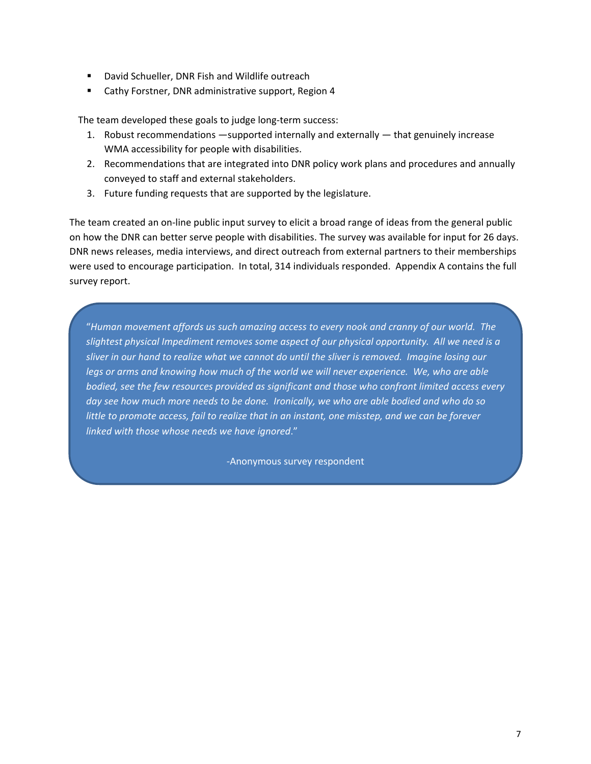- **•** David Schueller, DNR Fish and Wildlife outreach
- Cathy Forstner, DNR administrative support, Region 4

The team developed these goals to judge long-term success:

- 1. Robust recommendations —supported internally and externally that genuinely increase WMA accessibility for people with disabilities.
- 2. Recommendations that are integrated into DNR policy work plans and procedures and annually conveyed to staff and external stakeholders.
- 3. Future funding requests that are supported by the legislature.

The team created an on-line public input survey to elicit a broad range of ideas from the general public on how the DNR can better serve people with disabilities. The survey was available for input for 26 days. DNR news releases, media interviews, and direct outreach from external partners to their memberships were used to encourage participation. In total, 314 individuals responded. Appendix A contains the full survey report.

"*Human movement affords us such amazing access to every nook and cranny of our world. The slightest physical Impediment removes some aspect of our physical opportunity. All we need is a sliver in our hand to realize what we cannot do until the sliver is removed. Imagine losing our legs or arms and knowing how much of the world we will never experience. We, who are able bodied, see the few resources provided as significant and those who confront limited access every day see how much more needs to be done. Ironically, we who are able bodied and who do so little to promote access, fail to realize that in an instant, one misstep, and we can be forever linked with those whose needs we have ignored*."

-Anonymous survey respondent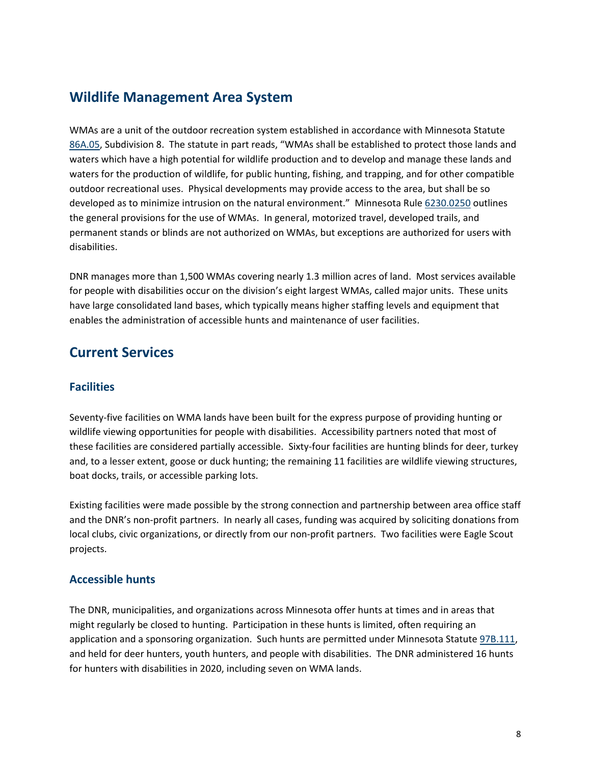## **Wildlife Management Area System**

WMAs are a unit of the outdoor recreation system established in accordance with Minnesota Statute [86A.05,](https://www.revisor.mn.gov/statutes/cite/86A.05) Subdivision 8. The statute in part reads, "WMAs shall be established to protect those lands and waters which have a high potential for wildlife production and to develop and manage these lands and waters for the production of wildlife, for public hunting, fishing, and trapping, and for other compatible outdoor recreational uses. Physical developments may provide access to the area, but shall be so developed as to minimize intrusion on the natural environment." Minnesota Rule [6230.0250](https://www.revisor.mn.gov/rules/6230.0250/) outlines the general provisions for the use of WMAs. In general, motorized travel, developed trails, and permanent stands or blinds are not authorized on WMAs, but exceptions are authorized for users with disabilities.

DNR manages more than 1,500 WMAs covering nearly 1.3 million acres of land. Most services available for people with disabilities occur on the division's eight largest WMAs, called major units. These units have large consolidated land bases, which typically means higher staffing levels and equipment that enables the administration of accessible hunts and maintenance of user facilities.

## **Current Services**

#### <span id="page-7-0"></span>**Facilities**

Seventy-five facilities on WMA lands have been built for the express purpose of providing hunting or wildlife viewing opportunities for people with disabilities. Accessibility partners noted that most of these facilities are considered partially accessible. Sixty-four facilities are hunting blinds for deer, turkey and, to a lesser extent, goose or duck hunting; the remaining 11 facilities are wildlife viewing structures, boat docks, trails, or accessible parking lots.

Existing facilities were made possible by the strong connection and partnership between area office staff and the DNR's non-profit partners. In nearly all cases, funding was acquired by soliciting donations from local clubs, civic organizations, or directly from our non-profit partners. Two facilities were Eagle Scout projects.

#### <span id="page-7-1"></span>**Accessible hunts**

The DNR, municipalities, and organizations across Minnesota offer hunts at times and in areas that might regularly be closed to hunting. Participation in these hunts is limited, often requiring an application and a sponsoring organization. Such hunts are permitted under Minnesota Statute [97B.111,](https://www.revisor.mn.gov/statutes/cite/97B.111) and held for deer hunters, youth hunters, and people with disabilities. The DNR administered 16 hunts for hunters with disabilities in 2020, including seven on WMA lands.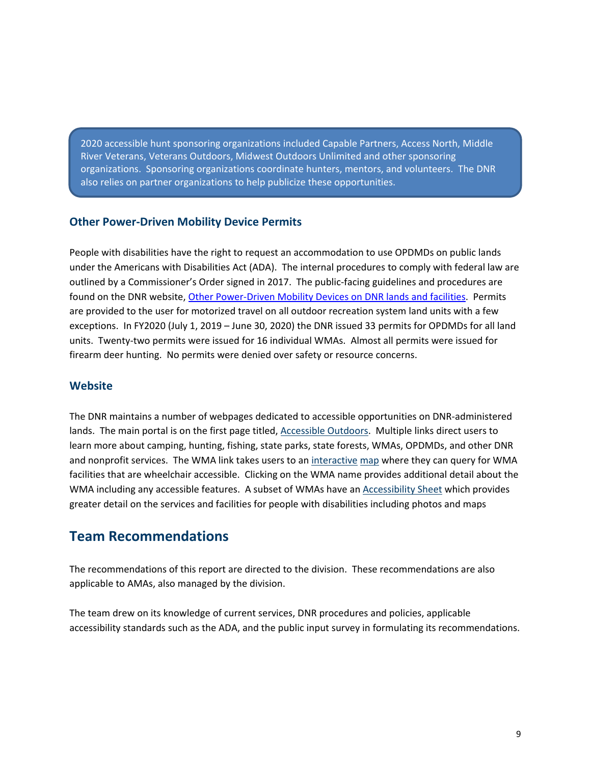2020 accessible hunt sponsoring organizations included Capable Partners, Access North, Middle River Veterans, Veterans Outdoors, Midwest Outdoors Unlimited and other sponsoring organizations. Sponsoring organizations coordinate hunters, mentors, and volunteers. The DNR also relies on partner organizations to help publicize these opportunities.

#### <span id="page-8-0"></span>**Other Power-Driven Mobility Device Permits**

People with disabilities have the right to request an accommodation to use OPDMDs on public lands under the Americans with Disabilities Act (ADA). The internal procedures to comply with federal law are outlined by a Commissioner's Order signed in 2017. The public-facing guidelines and procedures are found on the DNR website, [Other Power-Driven Mobility Devices on DNR lands](https://www.dnr.state.mn.us/accessible_outdoors/opdmd/index.html) and facilities. Permits are provided to the user for motorized travel on all outdoor recreation system land units with a few exceptions. In FY2020 (July 1, 2019 – June 30, 2020) the DNR issued 33 permits for OPDMDs for all land units. Twenty-two permits were issued for 16 individual WMAs. Almost all permits were issued for firearm deer hunting. No permits were denied over safety or resource concerns.

#### <span id="page-8-1"></span>**Website**

The DNR maintains a number of webpages dedicated to accessible opportunities on DNR-administered lands. The main portal is on the first page titled, [Accessible Outdoors.](https://www.dnr.state.mn.us/accessible_outdoors/index.html) Multiple links direct users to learn more about camping, hunting, fishing, state parks, state forests, WMAs, OPDMDs, and other DNR and nonprofit services. The WMA link takes users to an [interactive](https://www.dnr.state.mn.us/accessible_outdoors/wmas/index.html) map where they can query for WMA facilities that are wheelchair accessible. Clicking on the WMA name provides additional detail about the WMA including any accessible features. A subset of WMAs have an [Accessibility Sheet](https://webapps15.dnr.state.mn.us/wahma/attachments/8124/public?1582572959) which provides greater detail on the services and facilities for people with disabilities including photos and maps

### **Team Recommendations**

The recommendations of this report are directed to the division. These recommendations are also applicable to AMAs, also managed by the division.

The team drew on its knowledge of current services, DNR procedures and policies, applicable accessibility standards such as the ADA, and the public input survey in formulating its recommendations.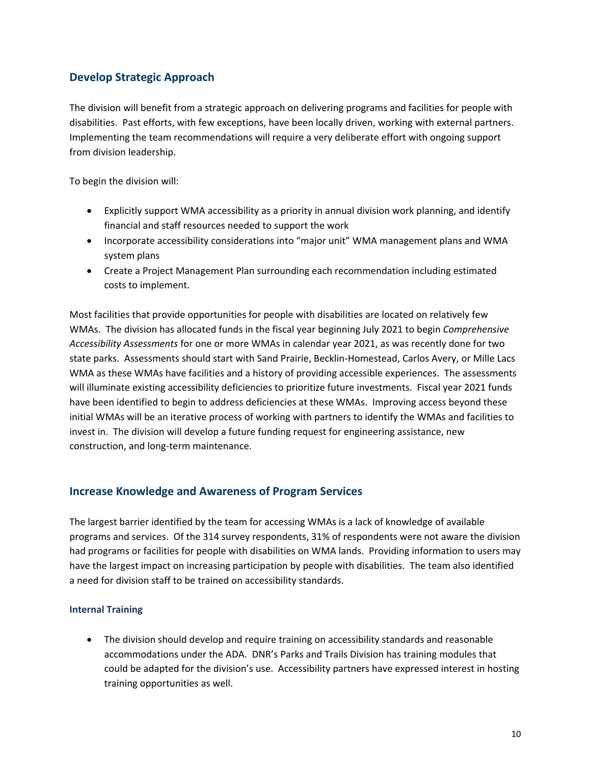#### **Develop Strategic Approach**

The division will benefit from a strategic approach on delivering programs and facilities for people with disabilities. Past efforts, with few exceptions, have been locally driven, working with external partners. Implementing the team recommendations will require a very deliberate effort with ongoing support from division leadership.

To begin the division will:

- Explicitly support WMA accessibility as a priority in annual division work planning, and identify financial and staff resources needed to support the work
- Incorporate accessibility considerations into "major unit" WMA management plans and WMA system plans
- Create a Project Management Plan surrounding each recommendation including estimated costs to implement.

Most facilities that provide opportunities for people with disabilities are located on relatively few WMAs. The division has allocated funds in the fiscal year beginning July 2021 to begin *Comprehensive Accessibility Assessments* for one or more WMAs in calendar year 2021, as was recently done for two state parks. Assessments should start with Sand Prairie, Becklin-Homestead, Carlos Avery, or Mille Lacs WMA as these WMAs have facilities and a history of providing accessible experiences. The assessments will illuminate existing accessibility deficiencies to prioritize future investments. Fiscal year 2021 funds have been identified to begin to address deficiencies at these WMAs. Improving access beyond these initial WMAs will be an iterative process of working with partners to identify the WMAs and facilities to invest in. The division will develop a future funding request for engineering assistance, new construction, and long-term maintenance.

#### **Increase Knowledge and Awareness of Program Services**

The largest barrier identified by the team for accessing WMAs is a lack of knowledge of available programs and services. Of the 314 survey respondents, 31% of respondents were not aware the division had programs or facilities for people with disabilities on WMA lands. Providing information to users may have the largest impact on increasing participation by people with disabilities. The team also identified a need for division staff to be trained on accessibility standards.

#### **Internal Training**

• The division should develop and require training on accessibility standards and reasonable accommodations under the ADA. DNR's Parks and Trails Division has training modules that could be adapted for the division's use. Accessibility partners have expressed interest in hosting training opportunities as well.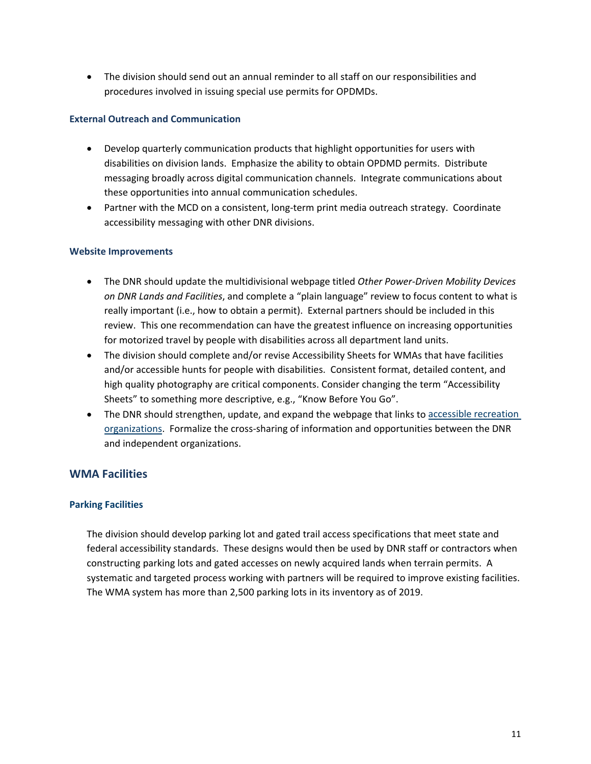• The division should send out an annual reminder to all staff on our responsibilities and procedures involved in issuing special use permits for OPDMDs.

#### **External Outreach and Communication**

- Develop quarterly communication products that highlight opportunities for users with disabilities on division lands. Emphasize the ability to obtain OPDMD permits. Distribute messaging broadly across digital communication channels. Integrate communications about these opportunities into annual communication schedules.
- Partner with the MCD on a consistent, long-term print media outreach strategy. Coordinate accessibility messaging with other DNR divisions.

#### **Website Improvements**

- The DNR should update the multidivisional webpage titled *Other Power-Driven Mobility Devices on DNR Lands and Facilities*, and complete a "plain language" review to focus content to what is really important (i.e., how to obtain a permit). External partners should be included in this review. This one recommendation can have the greatest influence on increasing opportunities for motorized travel by people with disabilities across all department land units.
- The division should complete and/or revise Accessibility Sheets for WMAs that have facilities and/or accessible hunts for people with disabilities. Consistent format, detailed content, and high quality photography are critical components. Consider changing the term "Accessibility Sheets" to something more descriptive, e.g., "Know Before You Go".
- The DNR should strengthen, update, and expand the webpage that links to accessible recreation [organizations.](https://www.dnr.state.mn.us/accessible_outdoors/organizations.html) Formalize the cross-sharing of information and opportunities between the DNR and independent organizations.

#### **WMA Facilities**

#### **Parking Facilities**

The division should develop parking lot and gated trail access specifications that meet state and federal accessibility standards. These designs would then be used by DNR staff or contractors when constructing parking lots and gated accesses on newly acquired lands when terrain permits. A systematic and targeted process working with partners will be required to improve existing facilities. The WMA system has more than 2,500 parking lots in its inventory as of 2019.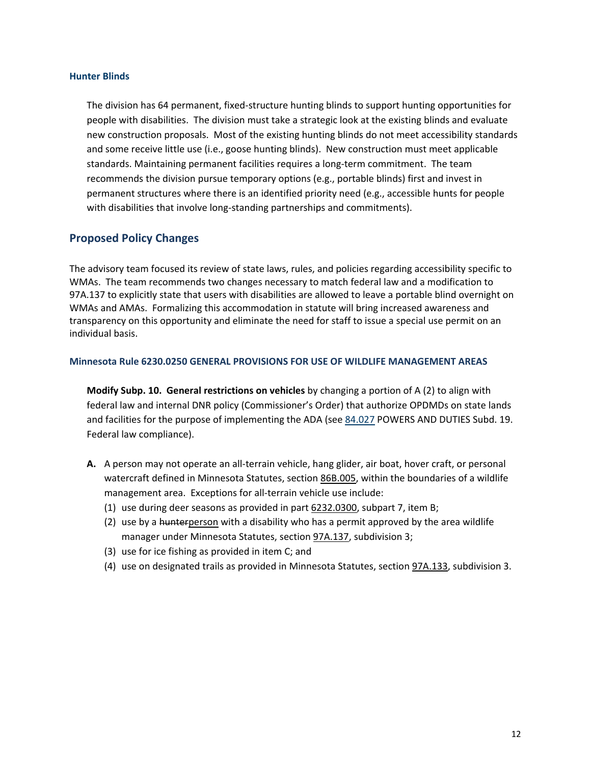#### **Hunter Blinds**

The division has 64 permanent, fixed-structure hunting blinds to support hunting opportunities for people with disabilities. The division must take a strategic look at the existing blinds and evaluate new construction proposals. Most of the existing hunting blinds do not meet accessibility standards and some receive little use (i.e., goose hunting blinds). New construction must meet applicable standards. Maintaining permanent facilities requires a long-term commitment. The team recommends the division pursue temporary options (e.g., portable blinds) first and invest in permanent structures where there is an identified priority need (e.g., accessible hunts for people with disabilities that involve long-standing partnerships and commitments).

#### **Proposed Policy Changes**

The advisory team focused its review of state laws, rules, and policies regarding accessibility specific to WMAs. The team recommends two changes necessary to match federal law and a modification to 97A.137 to explicitly state that users with disabilities are allowed to leave a portable blind overnight on WMAs and AMAs. Formalizing this accommodation in statute will bring increased awareness and transparency on this opportunity and eliminate the need for staff to issue a special use permit on an individual basis.

#### **Minnesota Rule 6230.0250 GENERAL PROVISIONS FOR USE OF WILDLIFE MANAGEMENT AREAS**

**Modify Subp. 10. General restrictions on vehicles** by changing a portion of A (2) to align with federal law and internal DNR policy (Commissioner's Order) that authorize OPDMDs on state lands and facilities for the purpose of implementing the ADA (se[e 84.027](https://www.revisor.mn.gov/statutes/cite/84.027) POWERS AND DUTIES Subd. 19. Federal law compliance).

- **A.** A person may not operate an all-terrain vehicle, hang glider, air boat, hover craft, or personal watercraft defined in Minnesota Statutes, section [86B.005,](https://www.revisor.mn.gov/statutes/cite/86B.005) within the boundaries of a wildlife management area. Exceptions for all-terrain vehicle use include:
	- (1) use during deer seasons as provided in part [6232.0300,](https://www.revisor.mn.gov/rules/6232.0300) subpart 7, item B;
	- (2) use by a hunterperson with a disability who has a permit approved by the area wildlife manager under Minnesota Statutes, sectio[n 97A.137,](https://www.revisor.mn.gov/statutes/cite/97A.137) subdivision 3;
	- (3) use for ice fishing as provided in item C; and
	- (4) use on designated trails as provided in Minnesota Statutes, section [97A.133,](https://www.revisor.mn.gov/statutes/cite/97A.133) subdivision 3.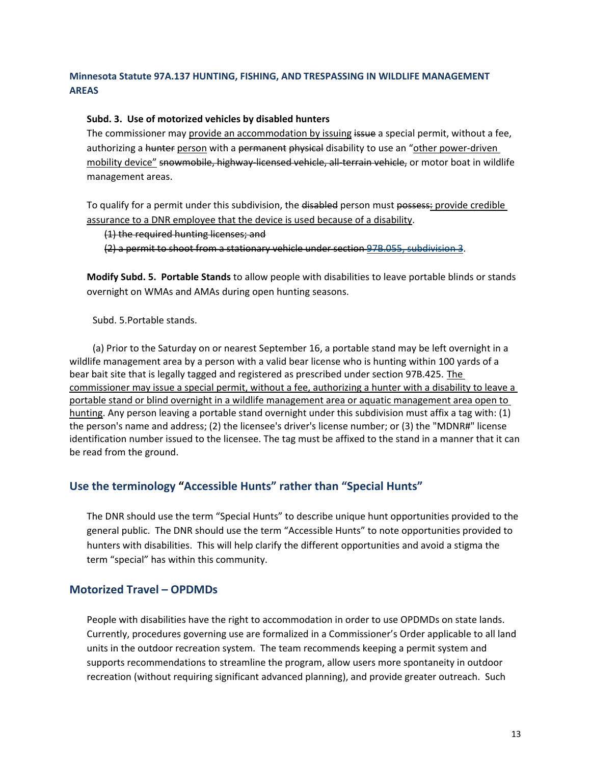#### **Minnesota Statute 97A.137 HUNTING, FISHING, AND TRESPASSING IN WILDLIFE MANAGEMENT AREAS**

#### **Subd. 3. Use of motorized vehicles by disabled hunters**

The commissioner may provide an accommodation by issuing issue a special permit, without a fee, authorizing a hunter person with a permanent physical disability to use an "other power-driven mobility device" snowmobile, highway-licensed vehicle, all-terrain vehicle, or motor boat in wildlife management areas.

To qualify for a permit under this subdivision, the disabled person must possess: provide credible assurance to a DNR employee that the device is used because of a disability.

(1) the required hunting licenses; and

(2) a permit to shoot from a stationary vehicle under section 97B.055, subdivision 3.

**Modify Subd. 5. Portable Stands** to allow people with disabilities to leave portable blinds or stands overnight on WMAs and AMAs during open hunting seasons.

Subd. 5.Portable stands.

(a) Prior to the Saturday on or nearest September 16, a portable stand may be left overnight in a wildlife management area by a person with a valid bear license who is hunting within 100 yards of a bear bait site that is legally tagged and registered as prescribed under section [97B.425.](https://www.revisor.mn.gov/statutes/cite/97B.425) The commissioner may issue a special permit, without a fee, authorizing a hunter with a disability to leave a portable stand or blind overnight in a wildlife management area or aquatic management area open to hunting. Any person leaving a portable stand overnight under this subdivision must affix a tag with: (1) the person's name and address; (2) the licensee's driver's license number; or (3) the "MDNR#" license identification number issued to the licensee. The tag must be affixed to the stand in a manner that it can be read from the ground.

#### **Use the terminology "Accessible Hunts" rather than "Special Hunts"**

The DNR should use the term "Special Hunts" to describe unique hunt opportunities provided to the general public. The DNR should use the term "Accessible Hunts" to note opportunities provided to hunters with disabilities. This will help clarify the different opportunities and avoid a stigma the term "special" has within this community.

#### **Motorized Travel – OPDMDs**

People with disabilities have the right to accommodation in order to use OPDMDs on state lands. Currently, procedures governing use are formalized in a Commissioner's Order applicable to all land units in the outdoor recreation system. The team recommends keeping a permit system and supports recommendations to streamline the program, allow users more spontaneity in outdoor recreation (without requiring significant advanced planning), and provide greater outreach. Such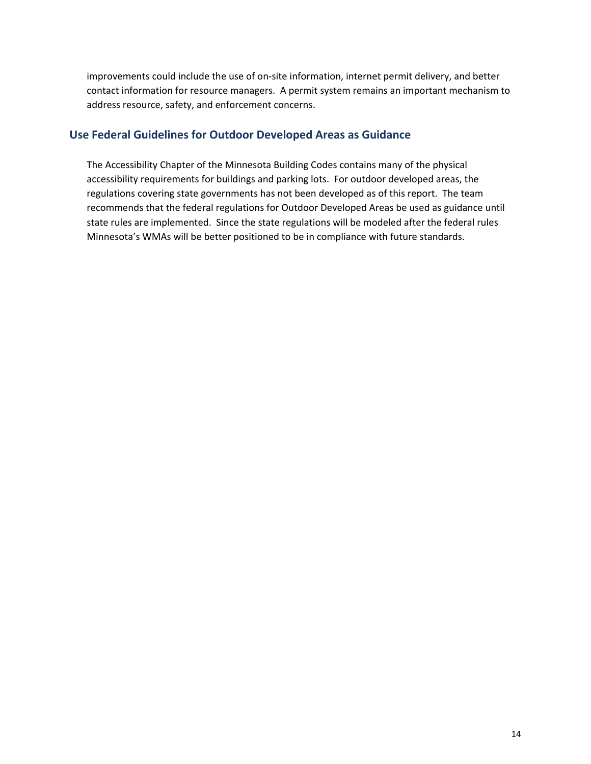improvements could include the use of on-site information, internet permit delivery, and better contact information for resource managers. A permit system remains an important mechanism to address resource, safety, and enforcement concerns.

#### **Use Federal Guidelines for Outdoor Developed Areas as Guidance**

The Accessibility Chapter of the Minnesota Building Codes contains many of the physical accessibility requirements for buildings and parking lots. For outdoor developed areas, the regulations covering state governments has not been developed as of this report. The team recommends that the federal regulations for Outdoor Developed Areas be used as guidance until state rules are implemented. Since the state regulations will be modeled after the federal rules Minnesota's WMAs will be better positioned to be in compliance with future standards.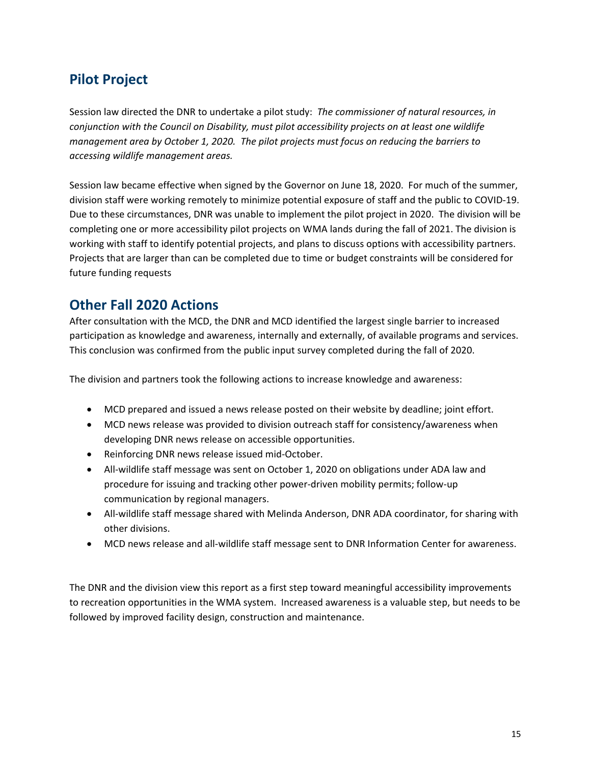## **Pilot Project**

Session law directed the DNR to undertake a pilot study: *The commissioner of natural resources, in conjunction with the Council on Disability, must pilot accessibility projects on at least one wildlife management area by October 1, 2020. The pilot projects must focus on reducing the barriers to accessing wildlife management areas.*

Session law became effective when signed by the Governor on June 18, 2020. For much of the summer, division staff were working remotely to minimize potential exposure of staff and the public to COVID-19. Due to these circumstances, DNR was unable to implement the pilot project in 2020. The division will be completing one or more accessibility pilot projects on WMA lands during the fall of 2021. The division is working with staff to identify potential projects, and plans to discuss options with accessibility partners. Projects that are larger than can be completed due to time or budget constraints will be considered for future funding requests

### **Other Fall 2020 Actions**

After consultation with the MCD, the DNR and MCD identified the largest single barrier to increased participation as knowledge and awareness, internally and externally, of available programs and services. This conclusion was confirmed from the public input survey completed during the fall of 2020.

The division and partners took the following actions to increase knowledge and awareness:

- MCD prepared and issued a news release posted on their website by deadline; joint effort.
- MCD news release was provided to division outreach staff for consistency/awareness when developing DNR news release on accessible opportunities.
- Reinforcing DNR news release issued mid-October.
- All-wildlife staff message was sent on October 1, 2020 on obligations under ADA law and procedure for issuing and tracking other power-driven mobility permits; follow-up communication by regional managers.
- All-wildlife staff message shared with Melinda Anderson, DNR ADA coordinator, for sharing with other divisions.
- MCD news release and all-wildlife staff message sent to DNR Information Center for awareness.

The DNR and the division view this report as a first step toward meaningful accessibility improvements to recreation opportunities in the WMA system. Increased awareness is a valuable step, but needs to be followed by improved facility design, construction and maintenance.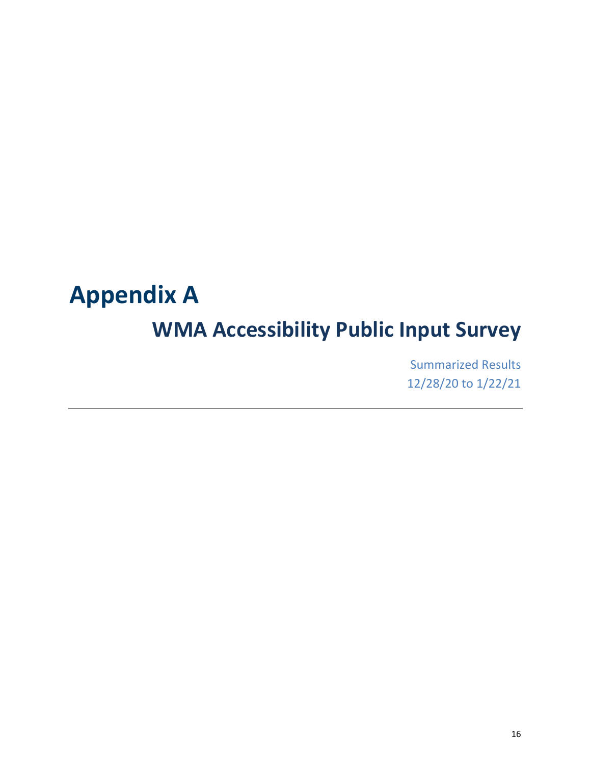# **Appendix A**

# **WMA Accessibility Public Input Survey**

Summarized Results 12/28/20 to 1/22/21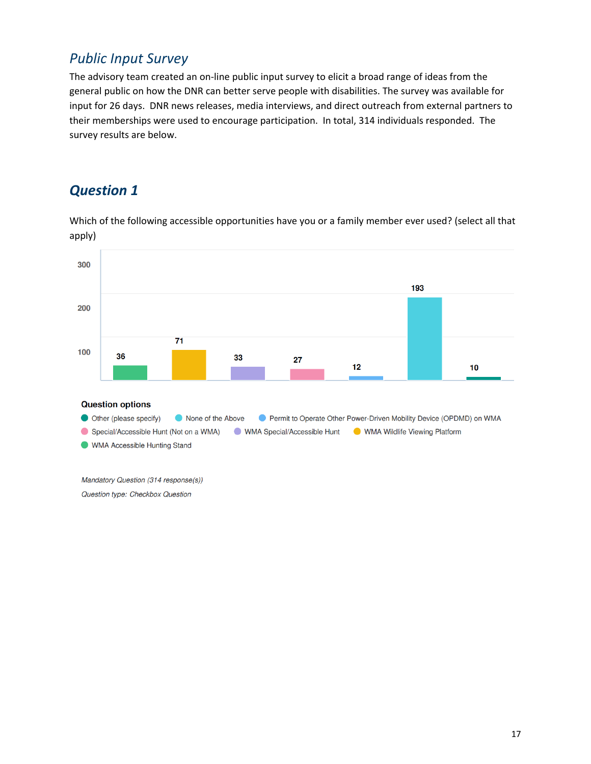## *Public Input Survey*

The advisory team created an on-line public input survey to elicit a broad range of ideas from the general public on how the DNR can better serve people with disabilities. The survey was available for input for 26 days. DNR news releases, media interviews, and direct outreach from external partners to their memberships were used to encourage participation. In total, 314 individuals responded. The survey results are below.

## *Question 1*

Which of the following accessible opportunities have you or a family member ever used? (select all that apply)



Question type: Checkbox Question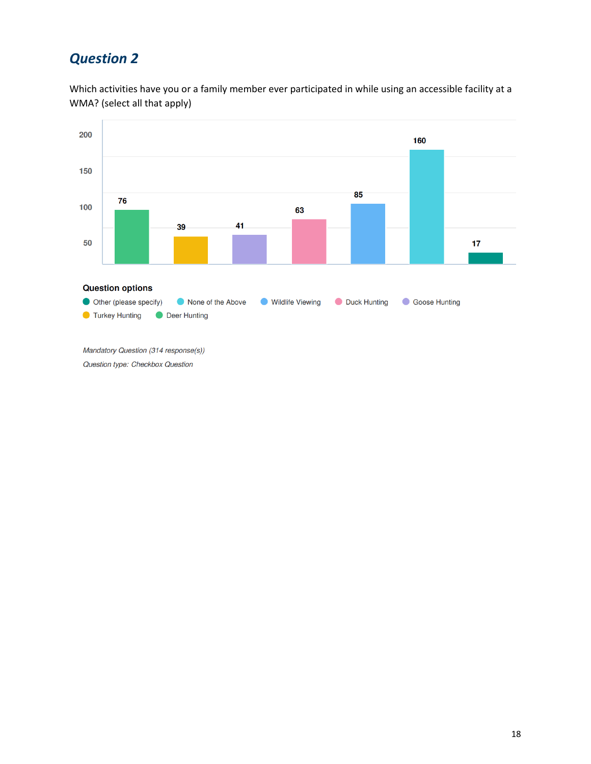Which activities have you or a family member ever participated in while using an accessible facility at a WMA? (select all that apply)



Mandatory Question (314 response(s)) Question type: Checkbox Question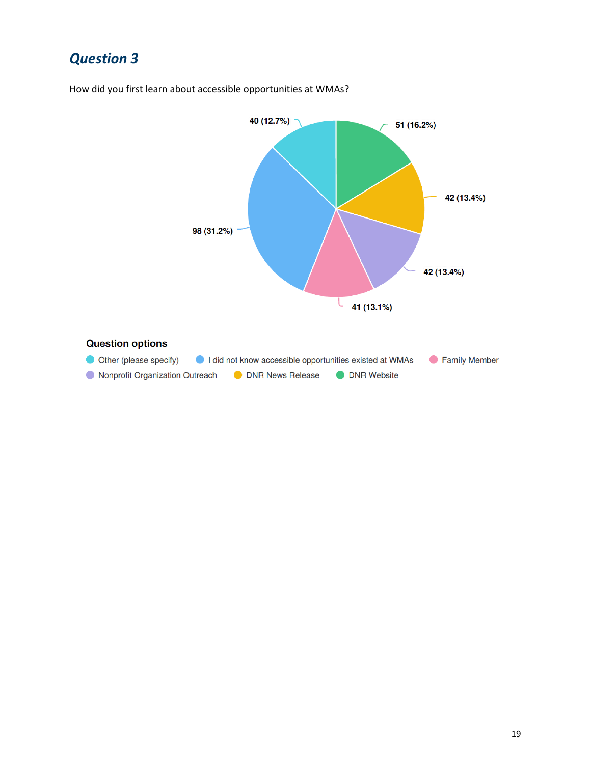

How did you first learn about accessible opportunities at WMAs?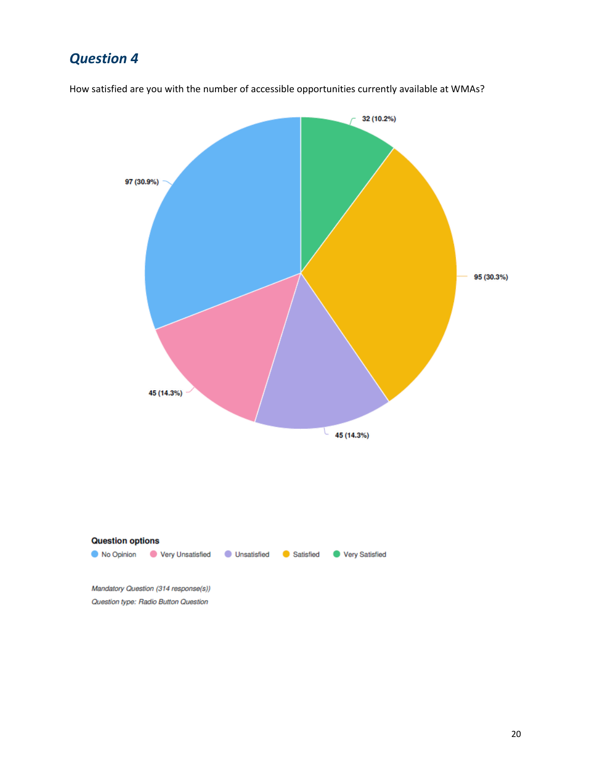

How satisfied are you with the number of accessible opportunities currently available at WMAs?

Question type: Radio Button Question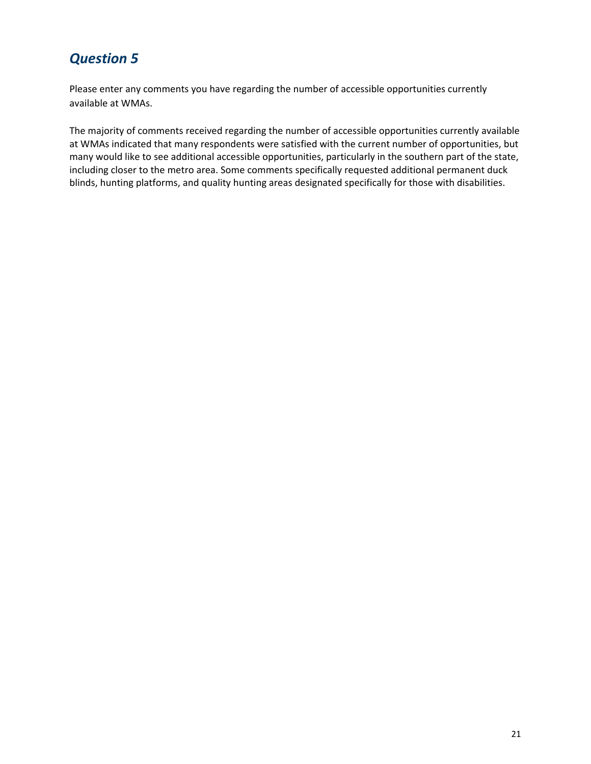Please enter any comments you have regarding the number of accessible opportunities currently available at WMAs.

The majority of comments received regarding the number of accessible opportunities currently available at WMAs indicated that many respondents were satisfied with the current number of opportunities, but many would like to see additional accessible opportunities, particularly in the southern part of the state, including closer to the metro area. Some comments specifically requested additional permanent duck blinds, hunting platforms, and quality hunting areas designated specifically for those with disabilities.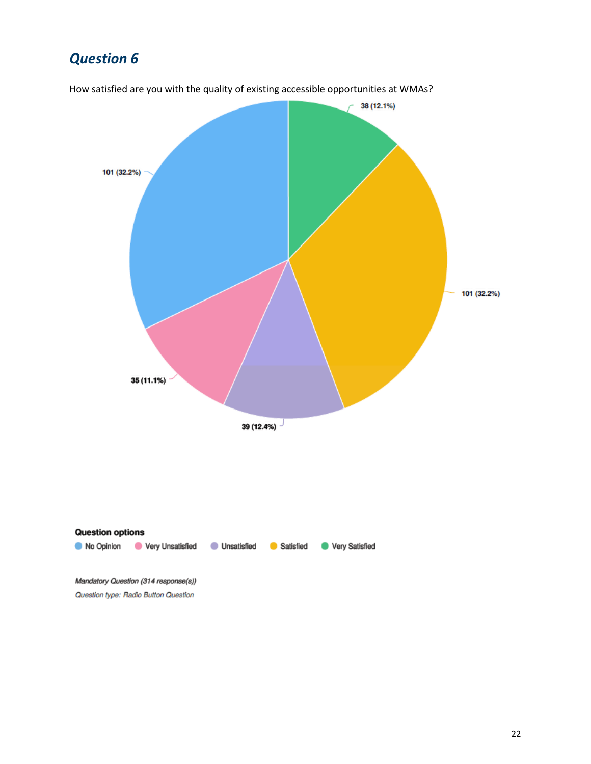

How satisfied are you with the quality of existing accessible opportunities at WMAs?

22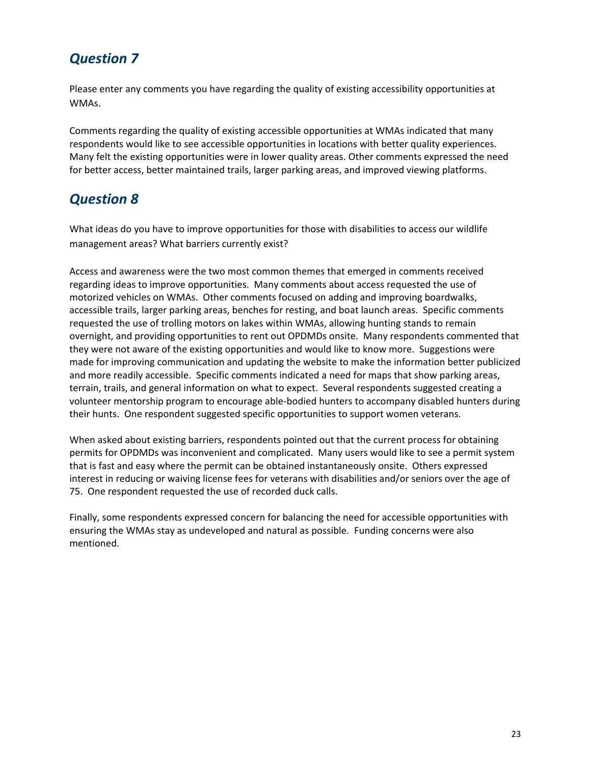Please enter any comments you have regarding the quality of existing accessibility opportunities at WMAs.

Comments regarding the quality of existing accessible opportunities at WMAs indicated that many respondents would like to see accessible opportunities in locations with better quality experiences. Many felt the existing opportunities were in lower quality areas. Other comments expressed the need for better access, better maintained trails, larger parking areas, and improved viewing platforms.

## *Question 8*

What ideas do you have to improve opportunities for those with disabilities to access our wildlife management areas? What barriers currently exist?

Access and awareness were the two most common themes that emerged in comments received regarding ideas to improve opportunities. Many comments about access requested the use of motorized vehicles on WMAs. Other comments focused on adding and improving boardwalks, accessible trails, larger parking areas, benches for resting, and boat launch areas. Specific comments requested the use of trolling motors on lakes within WMAs, allowing hunting stands to remain overnight, and providing opportunities to rent out OPDMDs onsite. Many respondents commented that they were not aware of the existing opportunities and would like to know more. Suggestions were made for improving communication and updating the website to make the information better publicized and more readily accessible. Specific comments indicated a need for maps that show parking areas, terrain, trails, and general information on what to expect. Several respondents suggested creating a volunteer mentorship program to encourage able-bodied hunters to accompany disabled hunters during their hunts. One respondent suggested specific opportunities to support women veterans.

When asked about existing barriers, respondents pointed out that the current process for obtaining permits for OPDMDs was inconvenient and complicated. Many users would like to see a permit system that is fast and easy where the permit can be obtained instantaneously onsite. Others expressed interest in reducing or waiving license fees for veterans with disabilities and/or seniors over the age of 75. One respondent requested the use of recorded duck calls.

Finally, some respondents expressed concern for balancing the need for accessible opportunities with ensuring the WMAs stay as undeveloped and natural as possible. Funding concerns were also mentioned.